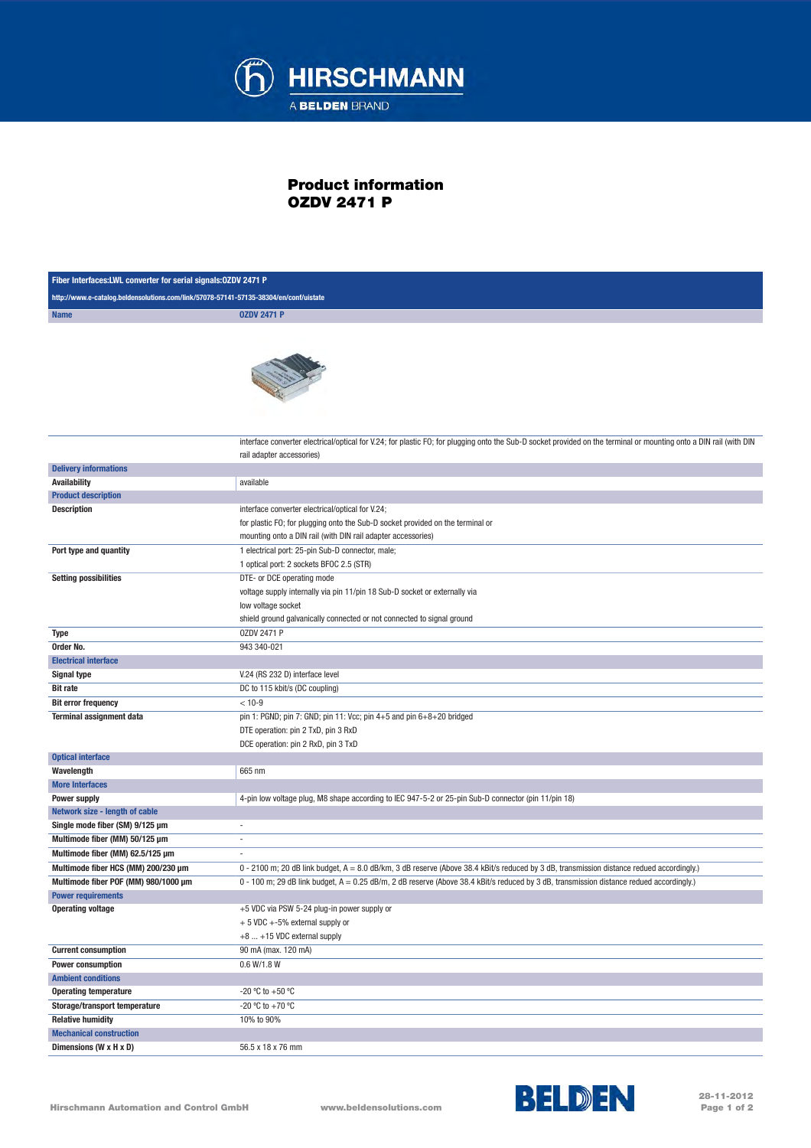

## Product information OZDV 2471 P

| Fiber Interfaces: LWL converter for serial signals: 0ZDV 2471 P                       |                                                                                                                                                                                                          |  |
|---------------------------------------------------------------------------------------|----------------------------------------------------------------------------------------------------------------------------------------------------------------------------------------------------------|--|
| http://www.e-catalog.beldensolutions.com/link/57078-57141-57135-38304/en/conf/uistate |                                                                                                                                                                                                          |  |
| <b>Name</b>                                                                           | <b>OZDV 2471 P</b>                                                                                                                                                                                       |  |
|                                                                                       |                                                                                                                                                                                                          |  |
|                                                                                       | interface converter electrical/optical for V.24; for plastic FO; for plugging onto the Sub-D socket provided on the terminal or mounting onto a DIN rail (with DIN<br>rail adapter accessories)          |  |
| <b>Delivery informations</b>                                                          |                                                                                                                                                                                                          |  |
| <b>Availability</b>                                                                   | available                                                                                                                                                                                                |  |
| <b>Product description</b>                                                            |                                                                                                                                                                                                          |  |
| <b>Description</b>                                                                    | interface converter electrical/optical for V.24;<br>for plastic FO; for plugging onto the Sub-D socket provided on the terminal or<br>mounting onto a DIN rail (with DIN rail adapter accessories)       |  |
| Port type and quantity                                                                | 1 electrical port: 25-pin Sub-D connector, male;<br>1 optical port: 2 sockets BFOC 2.5 (STR)                                                                                                             |  |
| <b>Setting possibilities</b>                                                          | DTE- or DCE operating mode<br>voltage supply internally via pin 11/pin 18 Sub-D socket or externally via<br>low voltage socket<br>shield ground galvanically connected or not connected to signal ground |  |
| Type                                                                                  | 0ZDV 2471 P                                                                                                                                                                                              |  |
| Order No.                                                                             | 943 340-021                                                                                                                                                                                              |  |
| <b>Electrical interface</b>                                                           |                                                                                                                                                                                                          |  |
| <b>Signal type</b>                                                                    | V.24 (RS 232 D) interface level                                                                                                                                                                          |  |
| <b>Bit rate</b>                                                                       | DC to 115 kbit/s (DC coupling)                                                                                                                                                                           |  |
| <b>Bit error frequency</b>                                                            | $< 10 - 9$                                                                                                                                                                                               |  |
| <b>Terminal assignment data</b>                                                       | pin 1: PGND; pin 7: GND; pin 11: Vcc; pin 4+5 and pin 6+8+20 bridged<br>DTE operation: pin 2 TxD, pin 3 RxD<br>DCE operation: pin 2 RxD, pin 3 TxD                                                       |  |
| <b>Optical interface</b>                                                              |                                                                                                                                                                                                          |  |
| Wavelength                                                                            | 665 nm                                                                                                                                                                                                   |  |
| <b>More Interfaces</b>                                                                |                                                                                                                                                                                                          |  |
| <b>Power supply</b>                                                                   | 4-pin low voltage plug, M8 shape according to IEC 947-5-2 or 25-pin Sub-D connector (pin 11/pin 18)                                                                                                      |  |
| Network size - length of cable                                                        |                                                                                                                                                                                                          |  |
| Single mode fiber (SM) 9/125 µm                                                       | ٠                                                                                                                                                                                                        |  |
| Multimode fiber (MM) 50/125 µm                                                        | ä,                                                                                                                                                                                                       |  |
| Multimode fiber (MM) 62.5/125 µm                                                      |                                                                                                                                                                                                          |  |
| Multimode fiber HCS (MM) 200/230 um                                                   | 0 - 2100 m; 20 dB link budget, A = 8.0 dB/km, 3 dB reserve (Above 38.4 kBit/s reduced by 3 dB, transmission distance redued accordingly.)                                                                |  |
| Multimode fiber POF (MM) 980/1000 µm                                                  | 0 - 100 m; 29 dB link budget, A = 0.25 dB/m, 2 dB reserve (Above 38.4 kBit/s reduced by 3 dB, transmission distance redued accordingly.)                                                                 |  |
| <b>Power requirements</b>                                                             |                                                                                                                                                                                                          |  |
| <b>Operating voltage</b>                                                              | +5 VDC via PSW 5-24 plug-in power supply or<br>$+5$ VDC $+5%$ external supply or<br>+8  +15 VDC external supply                                                                                          |  |
| <b>Current consumption</b>                                                            | 90 mA (max. 120 mA)                                                                                                                                                                                      |  |
| Power consumption                                                                     | 0.6 W/1.8 W                                                                                                                                                                                              |  |
| <b>Ambient conditions</b>                                                             |                                                                                                                                                                                                          |  |
| <b>Operating temperature</b>                                                          | -20 °C to +50 °C                                                                                                                                                                                         |  |
| Storage/transport temperature                                                         | $-20 °C$ to $+70 °C$                                                                                                                                                                                     |  |
| <b>Relative humidity</b>                                                              | 10% to 90%                                                                                                                                                                                               |  |
| <b>Mechanical construction</b>                                                        |                                                                                                                                                                                                          |  |
| Dimensions (W x H x D)                                                                | 56.5 x 18 x 76 mm                                                                                                                                                                                        |  |